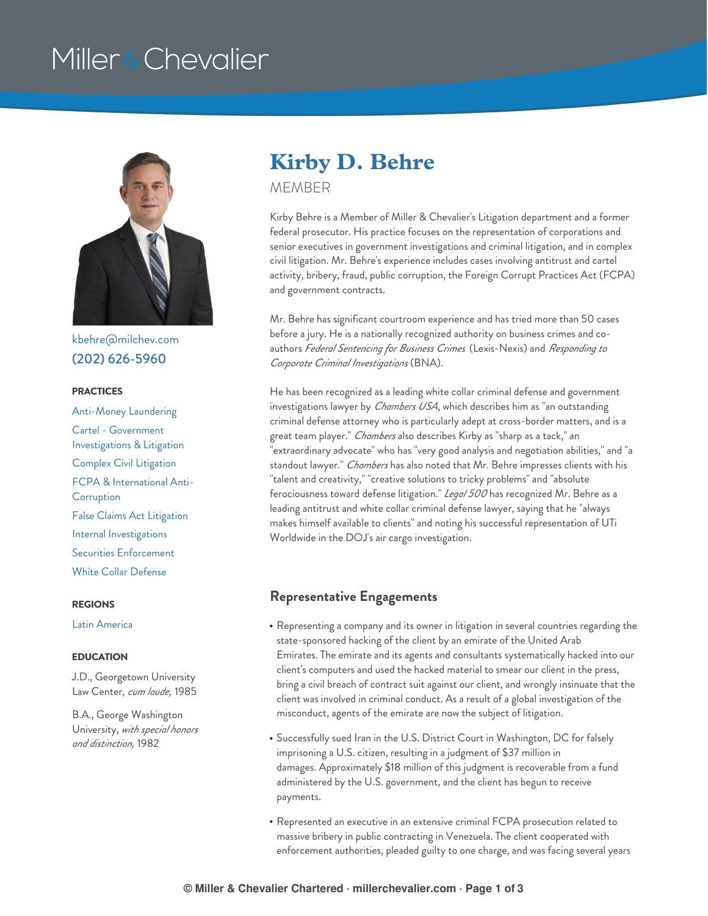# Miller & Chevalier



[kbehre@milchev.com](mailto:kbehre@milchev.com) (202) [626-5960](tel:202-626-5960)

#### **PRACTICES**

[Anti-Money](https://www.millerchevalier.com/practice-area/anti-money-laundering) Laundering Cartel - Government [Investigations](https://www.millerchevalier.com/practice-area/cartel-government-investigations-litigation) & Litigation Complex Civil [Litigation](https://www.millerchevalier.com/practice-area/complex-civil-litigation) FCPA & [International](https://www.millerchevalier.com/practice-area/fcpa-international-anti-corruption) Anti-**Corruption** False Claims Act [Litigation](https://www.millerchevalier.com/practice-area/false-claims-act-litigation) Internal [Investigations](https://www.millerchevalier.com/practice-area/internal-investigations) Securities [Enforcement](https://www.millerchevalier.com/practice-area/securities-enforcement) White Collar [Defense](https://www.millerchevalier.com/practice-area/white-collar-defense)

#### **REGIONS**

Latin [America](https://www.millerchevalier.com/region/latin-america)

#### **EDUCATION**

J.D., Georgetown University Law Center, *cum laude,* 1985

B.A., George Washington University, *with special honors and distinction,* 1982

# **Kirby D. Behre**

MEMBER

Kirby Behre is a Member of Miller & Chevalier's Litigation department and a former federal prosecutor. His practice focuses on the representation of corporations and senior executives in government investigations and criminal litigation, and in complex civil litigation. Mr. Behre's experience includes cases involving antitrust and cartel activity, bribery, fraud, public corruption, the Foreign Corrupt Practices Act (FCPA) and government contracts.

Mr. Behre has significant courtroom experience and has tried more than 50 cases before a jury. He is a nationally recognized authority on business crimes and coauthors *Federal Sentencing for Business Crimes* (Lexis-Nexis) and *Responding to Corporate Criminal Investigations* (BNA).

He has been recognized as a leading white collar criminal defense and government investigations lawyer by *Chambers USA*, which describes him as "an outstanding criminal defense attorney who is particularly adept at cross-border matters, and is a great team player." *Chambers* also describes Kirby as "sharp as a tack," an "extraordinary advocate" who has "very good analysis and negotiation abilities," and "a standout lawyer." *Chambers* has also noted that Mr. Behre impresses clients with his "talent and creativity," "creative solutions to tricky problems" and "absolute ferociousness toward defense litigation." *Legal 500* has recognized Mr. Behre as a leading antitrust and white collar criminal defense lawyer, saying that he "always makes himself available to clients" and noting his successful representation of UTi Worldwide in the DOJ's air cargo investigation.

## **Representative Engagements**

- Representing a company and its owner in litigation in several countries regarding the state-sponsored hacking of the client by an emirate of the United Arab Emirates. The emirate and its agents and consultants systematically hacked into our client's computers and used the hacked material to smear our client in the press, bring a civil breach of contract suit against our client, and wrongly insinuate that the client was involved in criminal conduct. As a result of a global investigation of the misconduct, agents of the emirate are now the subject of litigation.
- Successfully sued Iran in the U.S. District Court in Washington, DC for falsely imprisoning a U.S. citizen, resulting in a judgment of \$37 million in damages. Approximately \$18 million of this judgment is recoverable from a fund administered by the U.S. government, and the client has begun to receive payments.
- Represented an executive in an extensive criminal FCPA prosecution related to massive bribery in public contracting in Venezuela. The client cooperated with enforcement authorities, pleaded guilty to one charge, and was facing several years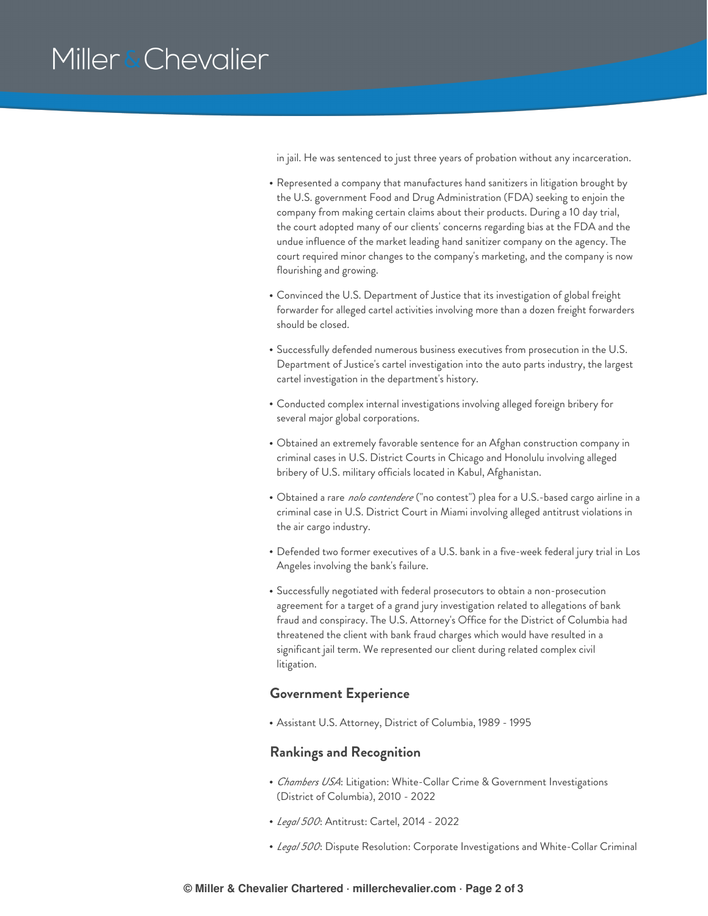# Miller & Chevalier

in jail. He was sentenced to just three years of probation without any incarceration.

- Represented a company that manufactures hand sanitizers in litigation brought by the U.S. government Food and Drug Administration (FDA) seeking to enjoin the company from making certain claims about their products. During a 10 day trial, the court adopted many of our clients' concerns regarding bias at the FDA and the undue influence of the market leading hand sanitizer company on the agency. The court required minor changes to the company's marketing, and the company is now flourishing and growing.
- Convinced the U.S. Department of Justice that its investigation of global freight forwarder for alleged cartel activities involving more than a dozen freight forwarders should be closed.
- Successfully defended numerous business executives from prosecution in the U.S. Department of Justice's cartel investigation into the auto parts industry, the largest cartel investigation in the department's history.
- Conducted complex internal investigations involving alleged foreign bribery for several major global corporations.
- Obtained an extremely favorable sentence for an Afghan construction company in criminal cases in U.S. District Courts in Chicago and Honolulu involving alleged bribery of U.S. military officials located in Kabul, Afghanistan.
- Obtained a rare *nolo contendere* ("no contest") plea for a U.S.-based cargo airline in a criminal case in U.S. District Court in Miami involving alleged antitrust violations in the air cargo industry.
- Defended two former executives of a U.S. bank in a five-week federal jury trial in Los Angeles involving the bank's failure.
- Successfully negotiated with federal prosecutors to obtain a non-prosecution agreement for a target of a grand jury investigation related to allegations of bank fraud and conspiracy. The U.S. Attorney's Office for the District of Columbia had threatened the client with bank fraud charges which would have resulted in a significant jail term. We represented our client during related complex civil litigation.

## **Government Experience**

Assistant U.S. Attorney, District of Columbia, 1989 - 1995

### **Rankings and Recognition**

- *Chambers USA*: Litigation: White-Collar Crime & Government Investigations (District of Columbia), 2010 - 2022
- *Legal 500*: Antitrust: Cartel, 2014 2022
- *Legal 500*: Dispute Resolution: Corporate Investigations and White-Collar Criminal